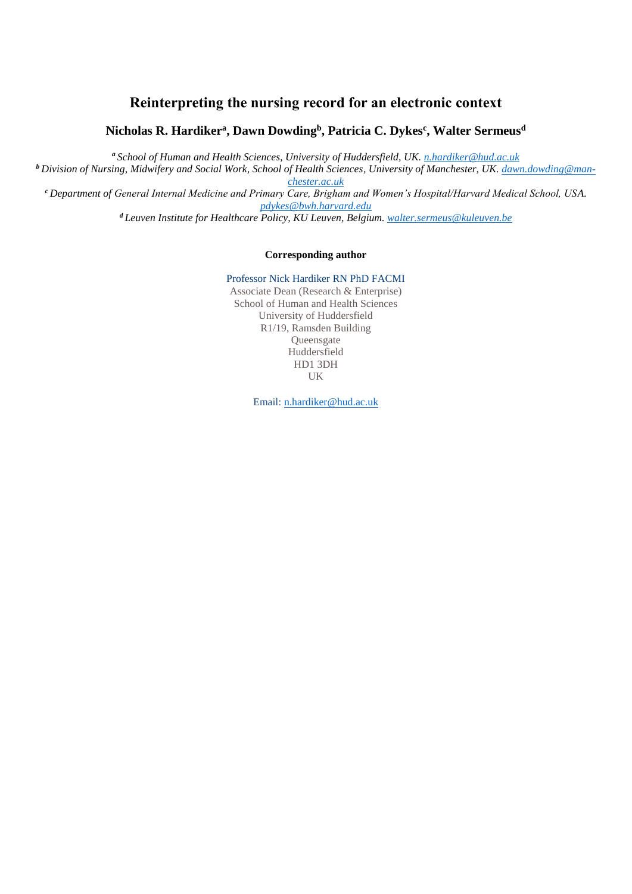# **Reinterpreting the nursing record for an electronic context**

## **Nicholas R. Hardiker<sup>a</sup> , Dawn Dowding<sup>b</sup> , Patricia C. Dykes<sup>c</sup> , Walter Sermeus<sup>d</sup>**

*<sup>a</sup> School of Human and Health Sciences, University of Huddersfield, UK. [n.hardiker@hud.ac.uk](mailto:n.hardiker@hud.ac.uk)*

*<sup>b</sup>Division of Nursing, Midwifery and Social Work, School of Health Sciences, University of Manchester, UK. [dawn.dowding@man](mailto:dawn.dowding@manchester.ac.uk)[chester.ac.uk](mailto:dawn.dowding@manchester.ac.uk)*

*<sup>c</sup> Department of General Internal Medicine and Primary Care, Brigham and Women's Hospital/Harvard Medical School, USA. [pdykes@bwh.harvard.edu](mailto:pdykes@bwh.harvard.edu)*

*<sup>d</sup> Leuven Institute for Healthcare Policy, KU Leuven, Belgium. [walter.sermeus@kuleuven.be](mailto:walter.sermeus@kuleuven.be)*

#### **Corresponding author**

#### Professor Nick Hardiker RN PhD FACMI

Associate Dean (Research & Enterprise) School of Human and Health Sciences University of Huddersfield R1/19, Ramsden Building Queensgate Huddersfield HD1 3DH UK

Email: [n.hardiker@hud.ac.uk](https://staffmail.hud.ac.uk/owa/redir.aspx?C=_IJYaPhS1W4uvVTG26Z37nHflpSGoEcMaPmBGUA3T4_ZfSjfhGnVCA..&URL=mailto%3an.hardiker%40hud.ac.uk)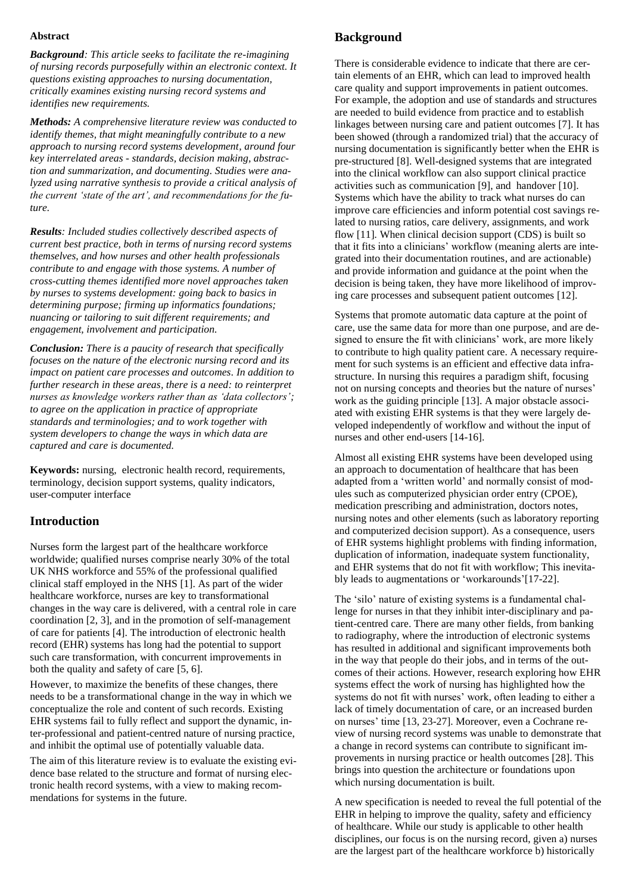#### **Abstract**

*Background: This article seeks to facilitate the re-imagining of nursing records purposefully within an electronic context. It questions existing approaches to nursing documentation, critically examines existing nursing record systems and identifies new requirements.*

*Methods: A comprehensive literature review was conducted to identify themes, that might meaningfully contribute to a new approach to nursing record systems development, around four key interrelated areas - standards, decision making, abstraction and summarization, and documenting. Studies were analyzed using narrative synthesis to provide a critical analysis of the current 'state of the art', and recommendations for the future.*

*Results: Included studies collectively described aspects of current best practice, both in terms of nursing record systems themselves, and how nurses and other health professionals contribute to and engage with those systems. A number of cross-cutting themes identified more novel approaches taken by nurses to systems development: going back to basics in determining purpose; firming up informatics foundations; nuancing or tailoring to suit different requirements; and engagement, involvement and participation.*

*Conclusion: There is a paucity of research that specifically focuses on the nature of the electronic nursing record and its impact on patient care processes and outcomes. In addition to further research in these areas, there is a need: to reinterpret nurses as knowledge workers rather than as 'data collectors'; to agree on the application in practice of appropriate standards and terminologies; and to work together with system developers to change the ways in which data are captured and care is documented.*

**Keywords:** nursing, electronic health record, requirements, terminology, decision support systems, quality indicators, user-computer interface

## **Introduction**

Nurses form the largest part of the healthcare workforce worldwide; qualified nurses comprise nearly 30% of the total UK NHS workforce and 55% of the professional qualified clinical staff employed in the NHS [1]. As part of the wider healthcare workforce, nurses are key to transformational changes in the way care is delivered, with a central role in care coordination [2, 3], and in the promotion of self-management of care for patients [4]. The introduction of electronic health record (EHR) systems has long had the potential to support such care transformation, with concurrent improvements in both the quality and safety of care [5, 6].

However, to maximize the benefits of these changes, there needs to be a transformational change in the way in which we conceptualize the role and content of such records. Existing EHR systems fail to fully reflect and support the dynamic, inter-professional and patient-centred nature of nursing practice, and inhibit the optimal use of potentially valuable data.

The aim of this literature review is to evaluate the existing evidence base related to the structure and format of nursing electronic health record systems, with a view to making recommendations for systems in the future.

## **Background**

There is considerable evidence to indicate that there are certain elements of an EHR, which can lead to improved health care quality and support improvements in patient outcomes. For example, the adoption and use of standards and structures are needed to build evidence from practice and to establish linkages between nursing care and patient outcomes [7]. It has been showed (through a randomized trial) that the accuracy of nursing documentation is significantly better when the EHR is pre-structured [8]. Well-designed systems that are integrated into the clinical workflow can also support clinical practice activities such as communication [9], and handover [10]. Systems which have the ability to track what nurses do can improve care efficiencies and inform potential cost savings related to nursing ratios, care delivery, assignments, and work flow [11]. When clinical decision support (CDS) is built so that it fits into a clinicians' workflow (meaning alerts are integrated into their documentation routines, and are actionable) and provide information and guidance at the point when the decision is being taken, they have more likelihood of improving care processes and subsequent patient outcomes [12].

Systems that promote automatic data capture at the point of care, use the same data for more than one purpose, and are designed to ensure the fit with clinicians' work, are more likely to contribute to high quality patient care. A necessary requirement for such systems is an efficient and effective data infrastructure. In nursing this requires a paradigm shift, focusing not on nursing concepts and theories but the nature of nurses' work as the guiding principle [13]. A major obstacle associated with existing EHR systems is that they were largely developed independently of workflow and without the input of nurses and other end-users [14-16].

Almost all existing EHR systems have been developed using an approach to documentation of healthcare that has been adapted from a 'written world' and normally consist of modules such as computerized physician order entry (CPOE), medication prescribing and administration, doctors notes, nursing notes and other elements (such as laboratory reporting and computerized decision support). As a consequence, users of EHR systems highlight problems with finding information, duplication of information, inadequate system functionality, and EHR systems that do not fit with workflow; This inevitably leads to augmentations or 'workarounds'[17-22].

The 'silo' nature of existing systems is a fundamental challenge for nurses in that they inhibit inter-disciplinary and patient-centred care. There are many other fields, from banking to radiography, where the introduction of electronic systems has resulted in additional and significant improvements both in the way that people do their jobs, and in terms of the outcomes of their actions. However, research exploring how EHR systems effect the work of nursing has highlighted how the systems do not fit with nurses' work, often leading to either a lack of timely documentation of care, or an increased burden on nurses' time [13, 23-27]. Moreover, even a Cochrane review of nursing record systems was unable to demonstrate that a change in record systems can contribute to significant improvements in nursing practice or health outcomes [28]. This brings into question the architecture or foundations upon which nursing documentation is built.

A new specification is needed to reveal the full potential of the EHR in helping to improve the quality, safety and efficiency of healthcare. While our study is applicable to other health disciplines, our focus is on the nursing record, given a) nurses are the largest part of the healthcare workforce b) historically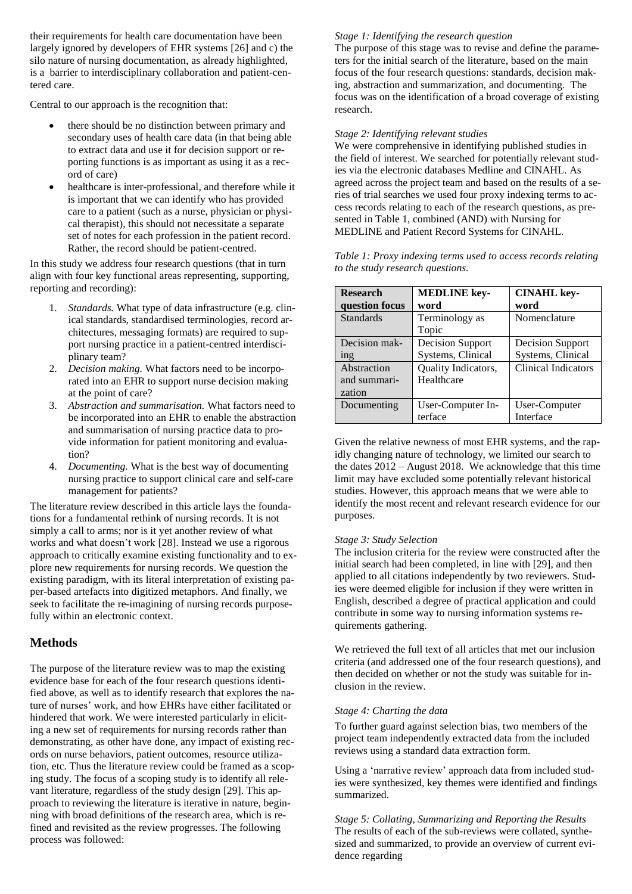their requirements for health care documentation have been largely ignored by developers of EHR systems [26] and c) the silo nature of nursing documentation, as already highlighted, is a barrier to interdisciplinary collaboration and patient-centered care.

Central to our approach is the recognition that:

- there should be no distinction between primary and secondary uses of health care data (in that being able to extract data and use it for decision support or reporting functions is as important as using it as a record of care)
- healthcare is inter-professional, and therefore while it is important that we can identify who has provided care to a patient (such as a nurse, physician or physical therapist), this should not necessitate a separate set of notes for each profession in the patient record. Rather, the record should be patient-centred.

In this study we address four research questions (that in turn align with four key functional areas representing, supporting, reporting and recording):

- 1. *Standards.* What type of data infrastructure (e.g. clinical standards, standardised terminologies, record architectures, messaging formats) are required to support nursing practice in a patient-centred interdisciplinary team?
- 2. *Decision making.* What factors need to be incorporated into an EHR to support nurse decision making at the point of care?
- 3. *Abstraction and summarisation.* What factors need to be incorporated into an EHR to enable the abstraction and summarisation of nursing practice data to provide information for patient monitoring and evaluation?
- 4. *Documenting.* What is the best way of documenting nursing practice to support clinical care and self-care management for patients?

The literature review described in this article lays the foundations for a fundamental rethink of nursing records. It is not simply a call to arms; nor is it yet another review of what works and what doesn't work [28]. Instead we use a rigorous approach to critically examine existing functionality and to explore new requirements for nursing records. We question the existing paradigm, with its literal interpretation of existing paper-based artefacts into digitized metaphors. And finally, we seek to facilitate the re-imagining of nursing records purposefully within an electronic context.

## **Methods**

The purpose of the literature review was to map the existing evidence base for each of the four research questions identified above, as well as to identify research that explores the nature of nurses' work, and how EHRs have either facilitated or hindered that work. We were interested particularly in eliciting a new set of requirements for nursing records rather than demonstrating, as other have done, any impact of existing records on nurse behaviors, patient outcomes, resource utilization, etc. Thus the literature review could be framed as a scoping study. The focus of a scoping study is to identify all relevant literature, regardless of the study design [29]. This approach to reviewing the literature is iterative in nature, beginning with broad definitions of the research area, which is refined and revisited as the review progresses. The following process was followed:

#### *Stage 1: Identifying the research question*

The purpose of this stage was to revise and define the parameters for the initial search of the literature, based on the main focus of the four research questions: standards, decision making, abstraction and summarization, and documenting. The focus was on the identification of a broad coverage of existing research.

### *Stage 2: Identifying relevant studies*

We were comprehensive in identifying published studies in the field of interest. We searched for potentially relevant studies via the electronic databases Medline and CINAHL. As agreed across the project team and based on the results of a series of trial searches we used four proxy indexing terms to access records relating to each of the research questions, as presented in Table 1, combined (AND) with Nursing for MEDLINE and Patient Record Systems for CINAHL.

*Table 1: Proxy indexing terms used to access records relating to the study research questions.*

| <b>MEDLINE</b> key- | <b>CINAHL</b> key-  |
|---------------------|---------------------|
| word                | word                |
| Terminology as      | Nomenclature        |
| Topic               |                     |
| Decision Support    | Decision Support    |
| Systems, Clinical   | Systems, Clinical   |
| Quality Indicators, | Clinical Indicators |
| Healthcare          |                     |
|                     |                     |
| User-Computer In-   | User-Computer       |
| terface             | Interface           |
|                     |                     |

Given the relative newness of most EHR systems, and the rapidly changing nature of technology, we limited our search to the dates 2012 – August 2018. We acknowledge that this time limit may have excluded some potentially relevant historical studies. However, this approach means that we were able to identify the most recent and relevant research evidence for our purposes.

#### *Stage 3: Study Selection*

The inclusion criteria for the review were constructed after the initial search had been completed, in line with [29], and then applied to all citations independently by two reviewers. Studies were deemed eligible for inclusion if they were written in English, described a degree of practical application and could contribute in some way to nursing information systems requirements gathering.

We retrieved the full text of all articles that met our inclusion criteria (and addressed one of the four research questions), and then decided on whether or not the study was suitable for inclusion in the review.

#### *Stage 4: Charting the data*

To further guard against selection bias, two members of the project team independently extracted data from the included reviews using a standard data extraction form.

Using a 'narrative review' approach data from included studies were synthesized, key themes were identified and findings summarized.

*Stage 5: Collating, Summarizing and Reporting the Results* The results of each of the sub-reviews were collated, synthesized and summarized, to provide an overview of current evidence regarding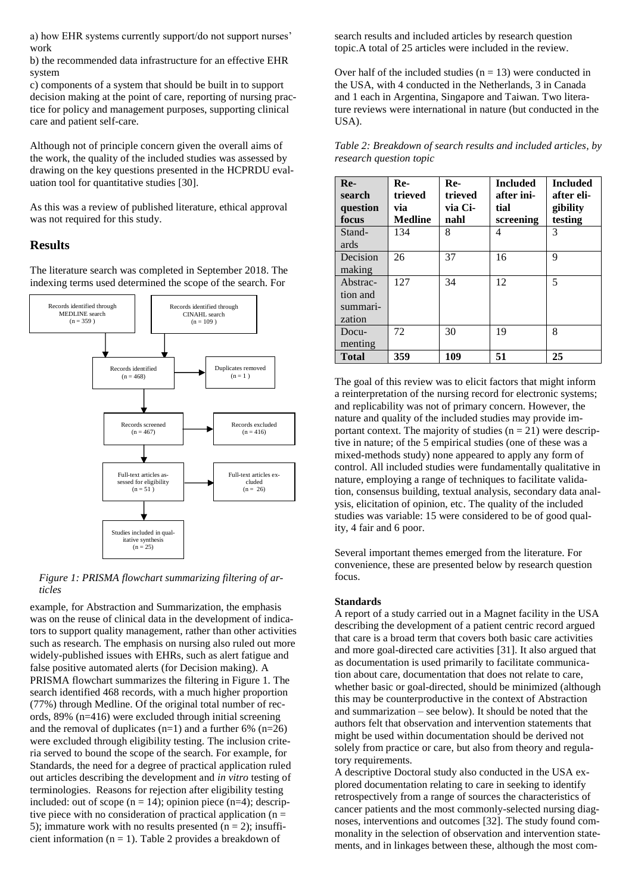a) how EHR systems currently support/do not support nurses' work

b) the recommended data infrastructure for an effective EHR system

c) components of a system that should be built in to support decision making at the point of care, reporting of nursing practice for policy and management purposes, supporting clinical care and patient self-care.

Although not of principle concern given the overall aims of the work, the quality of the included studies was assessed by drawing on the key questions presented in the HCPRDU evaluation tool for quantitative studies [30].

As this was a review of published literature, ethical approval was not required for this study.

## **Results**

The literature search was completed in September 2018. The indexing terms used determined the scope of the search. For



### *Figure 1: PRISMA flowchart summarizing filtering of articles*

example, for Abstraction and Summarization, the emphasis was on the reuse of clinical data in the development of indicators to support quality management, rather than other activities such as research. The emphasis on nursing also ruled out more widely-published issues with EHRs, such as alert fatigue and false positive automated alerts (for Decision making). A PRISMA flowchart summarizes the filtering in Figure 1. The search identified 468 records, with a much higher proportion (77%) through Medline. Of the original total number of records, 89% (n=416) were excluded through initial screening and the removal of duplicates  $(n=1)$  and a further 6%  $(n=26)$ were excluded through eligibility testing. The inclusion criteria served to bound the scope of the search. For example, for Standards, the need for a degree of practical application ruled out articles describing the development and *in vitro* testing of terminologies. Reasons for rejection after eligibility testing included: out of scope ( $n = 14$ ); opinion piece ( $n=4$ ); descriptive piece with no consideration of practical application ( $n =$ 5); immature work with no results presented  $(n = 2)$ ; insufficient information ( $n = 1$ ). Table 2 provides a breakdown of

search results and included articles by research question topic.A total of 25 articles were included in the review.

Over half of the included studies  $(n = 13)$  were conducted in the USA, with 4 conducted in the Netherlands, 3 in Canada and 1 each in Argentina, Singapore and Taiwan. Two literature reviews were international in nature (but conducted in the USA).

| Re-<br>search<br>question<br>focus         | Re-<br>trieved<br>via<br><b>Medline</b> | Re-<br>trieved<br>via Ci-<br>nahl | <b>Included</b><br>after ini-<br>tial<br>screening | <b>Included</b><br>after eli-<br>gibility<br>testing |
|--------------------------------------------|-----------------------------------------|-----------------------------------|----------------------------------------------------|------------------------------------------------------|
| Stand-<br>ards                             | 134                                     | 8                                 | 4                                                  | 3                                                    |
| Decision<br>making                         | 26                                      | 37                                | 16                                                 | 9                                                    |
| Abstrac-<br>tion and<br>summari-<br>zation | 127                                     | 34                                | 12                                                 | 5                                                    |
| Docu-<br>menting                           | 72                                      | 30                                | 19                                                 | 8                                                    |
| <b>Total</b>                               | 359                                     | 109                               | 51                                                 | 25                                                   |

*Table 2: Breakdown of search results and included articles, by research question topic*

The goal of this review was to elicit factors that might inform a reinterpretation of the nursing record for electronic systems; and replicability was not of primary concern. However, the nature and quality of the included studies may provide important context. The majority of studies  $(n = 21)$  were descriptive in nature; of the 5 empirical studies (one of these was a mixed-methods study) none appeared to apply any form of control. All included studies were fundamentally qualitative in nature, employing a range of techniques to facilitate validation, consensus building, textual analysis, secondary data analysis, elicitation of opinion, etc. The quality of the included studies was variable: 15 were considered to be of good quality, 4 fair and 6 poor.

Several important themes emerged from the literature. For convenience, these are presented below by research question focus.

#### **Standards**

A report of a study carried out in a Magnet facility in the USA describing the development of a patient centric record argued that care is a broad term that covers both basic care activities and more goal-directed care activities [31]. It also argued that as documentation is used primarily to facilitate communication about care, documentation that does not relate to care, whether basic or goal-directed, should be minimized (although this may be counterproductive in the context of Abstraction and summarization – see below). It should be noted that the authors felt that observation and intervention statements that might be used within documentation should be derived not solely from practice or care, but also from theory and regulatory requirements.

A descriptive Doctoral study also conducted in the USA explored documentation relating to care in seeking to identify retrospectively from a range of sources the characteristics of cancer patients and the most commonly-selected nursing diagnoses, interventions and outcomes [32]. The study found commonality in the selection of observation and intervention statements, and in linkages between these, although the most com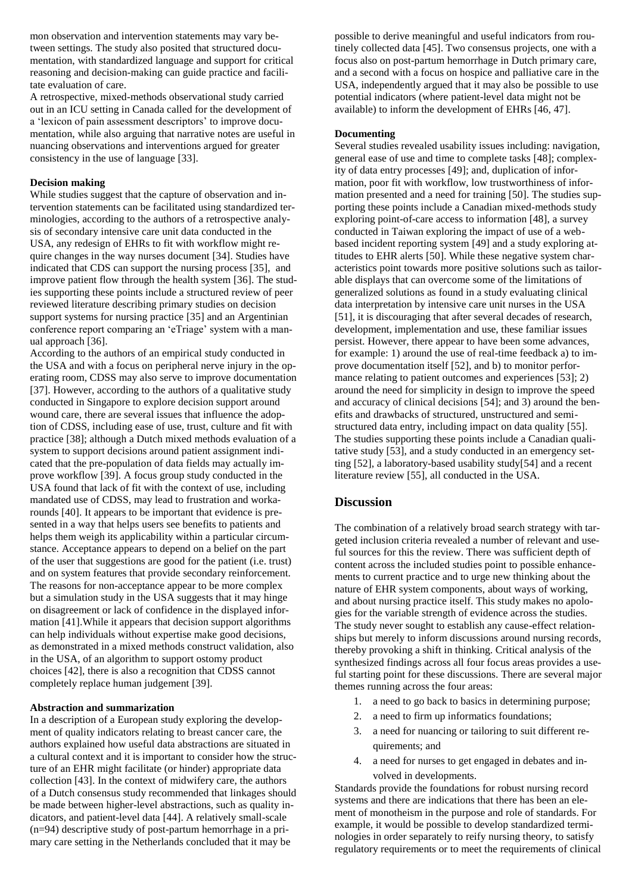mon observation and intervention statements may vary between settings. The study also posited that structured documentation, with standardized language and support for critical reasoning and decision-making can guide practice and facilitate evaluation of care.

A retrospective, mixed-methods observational study carried out in an ICU setting in Canada called for the development of a 'lexicon of pain assessment descriptors' to improve documentation, while also arguing that narrative notes are useful in nuancing observations and interventions argued for greater consistency in the use of language [33].

#### **Decision making**

While studies suggest that the capture of observation and intervention statements can be facilitated using standardized terminologies, according to the authors of a retrospective analysis of secondary intensive care unit data conducted in the USA, any redesign of EHRs to fit with workflow might require changes in the way nurses document [34]. Studies have indicated that CDS can support the nursing process [35], and improve patient flow through the health system [36]. The studies supporting these points include a structured review of peer reviewed literature describing primary studies on decision support systems for nursing practice [35] and an Argentinian conference report comparing an 'eTriage' system with a manual approach [36].

According to the authors of an empirical study conducted in the USA and with a focus on peripheral nerve injury in the operating room, CDSS may also serve to improve documentation [37]. However, according to the authors of a qualitative study conducted in Singapore to explore decision support around wound care, there are several issues that influence the adoption of CDSS, including ease of use, trust, culture and fit with practice [38]; although a Dutch mixed methods evaluation of a system to support decisions around patient assignment indicated that the pre-population of data fields may actually improve workflow [39]. A focus group study conducted in the USA found that lack of fit with the context of use, including mandated use of CDSS, may lead to frustration and workarounds [40]. It appears to be important that evidence is presented in a way that helps users see benefits to patients and helps them weigh its applicability within a particular circumstance. Acceptance appears to depend on a belief on the part of the user that suggestions are good for the patient (i.e. trust) and on system features that provide secondary reinforcement. The reasons for non-acceptance appear to be more complex but a simulation study in the USA suggests that it may hinge on disagreement or lack of confidence in the displayed information [41].While it appears that decision support algorithms can help individuals without expertise make good decisions, as demonstrated in a mixed methods construct validation, also in the USA, of an algorithm to support ostomy product choices [42], there is also a recognition that CDSS cannot completely replace human judgement [39].

#### **Abstraction and summarization**

In a description of a European study exploring the development of quality indicators relating to breast cancer care, the authors explained how useful data abstractions are situated in a cultural context and it is important to consider how the structure of an EHR might facilitate (or hinder) appropriate data collection [43]. In the context of midwifery care, the authors of a Dutch consensus study recommended that linkages should be made between higher-level abstractions, such as quality indicators, and patient-level data [44]. A relatively small-scale (n=94) descriptive study of post-partum hemorrhage in a primary care setting in the Netherlands concluded that it may be

possible to derive meaningful and useful indicators from routinely collected data [45]. Two consensus projects, one with a focus also on post-partum hemorrhage in Dutch primary care, and a second with a focus on hospice and palliative care in the USA, independently argued that it may also be possible to use potential indicators (where patient-level data might not be available) to inform the development of EHRs [46, 47].

#### **Documenting**

Several studies revealed usability issues including: navigation, general ease of use and time to complete tasks [48]; complexity of data entry processes [49]; and, duplication of information, poor fit with workflow, low trustworthiness of information presented and a need for training [50]. The studies supporting these points include a Canadian mixed-methods study exploring point-of-care access to information [48], a survey conducted in Taiwan exploring the impact of use of a webbased incident reporting system [49] and a study exploring attitudes to EHR alerts [50]. While these negative system characteristics point towards more positive solutions such as tailorable displays that can overcome some of the limitations of generalized solutions as found in a study evaluating clinical data interpretation by intensive care unit nurses in the USA [51], it is discouraging that after several decades of research, development, implementation and use, these familiar issues persist. However, there appear to have been some advances, for example: 1) around the use of real-time feedback a) to improve documentation itself [52], and b) to monitor performance relating to patient outcomes and experiences [53]; 2) around the need for simplicity in design to improve the speed and accuracy of clinical decisions [54]; and 3) around the benefits and drawbacks of structured, unstructured and semistructured data entry, including impact on data quality [55]. The studies supporting these points include a Canadian qualitative study [53], and a study conducted in an emergency setting [52], a laboratory-based usability study[54] and a recent literature review [55], all conducted in the USA.

### **Discussion**

The combination of a relatively broad search strategy with targeted inclusion criteria revealed a number of relevant and useful sources for this the review. There was sufficient depth of content across the included studies point to possible enhancements to current practice and to urge new thinking about the nature of EHR system components, about ways of working, and about nursing practice itself. This study makes no apologies for the variable strength of evidence across the studies. The study never sought to establish any cause-effect relationships but merely to inform discussions around nursing records, thereby provoking a shift in thinking. Critical analysis of the synthesized findings across all four focus areas provides a useful starting point for these discussions. There are several major themes running across the four areas:

- 1. a need to go back to basics in determining purpose;
- 2. a need to firm up informatics foundations;
- 3. a need for nuancing or tailoring to suit different requirements; and
- 4. a need for nurses to get engaged in debates and involved in developments.

Standards provide the foundations for robust nursing record systems and there are indications that there has been an element of monotheism in the purpose and role of standards. For example, it would be possible to develop standardized terminologies in order separately to reify nursing theory, to satisfy regulatory requirements or to meet the requirements of clinical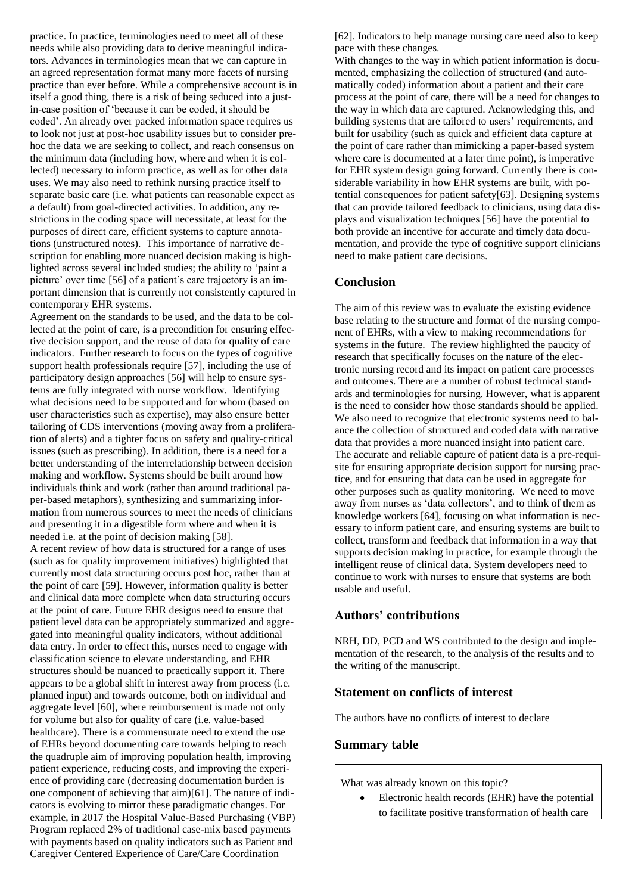practice. In practice, terminologies need to meet all of these needs while also providing data to derive meaningful indicators. Advances in terminologies mean that we can capture in an agreed representation format many more facets of nursing practice than ever before. While a comprehensive account is in itself a good thing, there is a risk of being seduced into a justin-case position of 'because it can be coded, it should be coded'. An already over packed information space requires us to look not just at post-hoc usability issues but to consider prehoc the data we are seeking to collect, and reach consensus on the minimum data (including how, where and when it is collected) necessary to inform practice, as well as for other data uses. We may also need to rethink nursing practice itself to separate basic care (i.e. what patients can reasonable expect as a default) from goal-directed activities. In addition, any restrictions in the coding space will necessitate, at least for the purposes of direct care, efficient systems to capture annotations (unstructured notes). This importance of narrative description for enabling more nuanced decision making is highlighted across several included studies; the ability to 'paint a picture' over time [56] of a patient's care trajectory is an important dimension that is currently not consistently captured in contemporary EHR systems.

Agreement on the standards to be used, and the data to be collected at the point of care, is a precondition for ensuring effective decision support, and the reuse of data for quality of care indicators. Further research to focus on the types of cognitive support health professionals require [57], including the use of participatory design approaches [56] will help to ensure systems are fully integrated with nurse workflow. Identifying what decisions need to be supported and for whom (based on user characteristics such as expertise), may also ensure better tailoring of CDS interventions (moving away from a proliferation of alerts) and a tighter focus on safety and quality-critical issues (such as prescribing). In addition, there is a need for a better understanding of the interrelationship between decision making and workflow. Systems should be built around how individuals think and work (rather than around traditional paper-based metaphors), synthesizing and summarizing information from numerous sources to meet the needs of clinicians and presenting it in a digestible form where and when it is needed i.e. at the point of decision making [58].

A recent review of how data is structured for a range of uses (such as for quality improvement initiatives) highlighted that currently most data structuring occurs post hoc, rather than at the point of care [59]. However, information quality is better and clinical data more complete when data structuring occurs at the point of care. Future EHR designs need to ensure that patient level data can be appropriately summarized and aggregated into meaningful quality indicators, without additional data entry. In order to effect this, nurses need to engage with classification science to elevate understanding, and EHR structures should be nuanced to practically support it. There appears to be a global shift in interest away from process (i.e. planned input) and towards outcome, both on individual and aggregate level [60], where reimbursement is made not only for volume but also for quality of care (i.e. value-based healthcare). There is a commensurate need to extend the use of EHRs beyond documenting care towards helping to reach the quadruple aim of improving population health, improving patient experience, reducing costs, and improving the experience of providing care (decreasing documentation burden is one component of achieving that aim)[61]. The nature of indicators is evolving to mirror these paradigmatic changes. For example, in 2017 the Hospital Value-Based Purchasing (VBP) Program replaced 2% of traditional case-mix based payments with payments based on quality indicators such as Patient and Caregiver Centered Experience of Care/Care Coordination

[62]. Indicators to help manage nursing care need also to keep pace with these changes.

With changes to the way in which patient information is documented, emphasizing the collection of structured (and automatically coded) information about a patient and their care process at the point of care, there will be a need for changes to the way in which data are captured. Acknowledging this, and building systems that are tailored to users' requirements, and built for usability (such as quick and efficient data capture at the point of care rather than mimicking a paper-based system where care is documented at a later time point), is imperative for EHR system design going forward. Currently there is considerable variability in how EHR systems are built, with potential consequences for patient safety[63]. Designing systems that can provide tailored feedback to clinicians, using data displays and visualization techniques [56] have the potential to both provide an incentive for accurate and timely data documentation, and provide the type of cognitive support clinicians need to make patient care decisions.

## **Conclusion**

The aim of this review was to evaluate the existing evidence base relating to the structure and format of the nursing component of EHRs, with a view to making recommendations for systems in the future. The review highlighted the paucity of research that specifically focuses on the nature of the electronic nursing record and its impact on patient care processes and outcomes. There are a number of robust technical standards and terminologies for nursing. However, what is apparent is the need to consider how those standards should be applied. We also need to recognize that electronic systems need to balance the collection of structured and coded data with narrative data that provides a more nuanced insight into patient care. The accurate and reliable capture of patient data is a pre-requisite for ensuring appropriate decision support for nursing practice, and for ensuring that data can be used in aggregate for other purposes such as quality monitoring. We need to move away from nurses as 'data collectors', and to think of them as knowledge workers [64], focusing on what information is necessary to inform patient care, and ensuring systems are built to collect, transform and feedback that information in a way that supports decision making in practice, for example through the intelligent reuse of clinical data. System developers need to continue to work with nurses to ensure that systems are both usable and useful.

## **Authors' contributions**

NRH, DD, PCD and WS contributed to the design and implementation of the research, to the analysis of the results and to the writing of the manuscript.

### **Statement on conflicts of interest**

The authors have no conflicts of interest to declare

## **Summary table**

What was already known on this topic?

- Electronic health records (EHR) have the potential
- to facilitate positive transformation of health care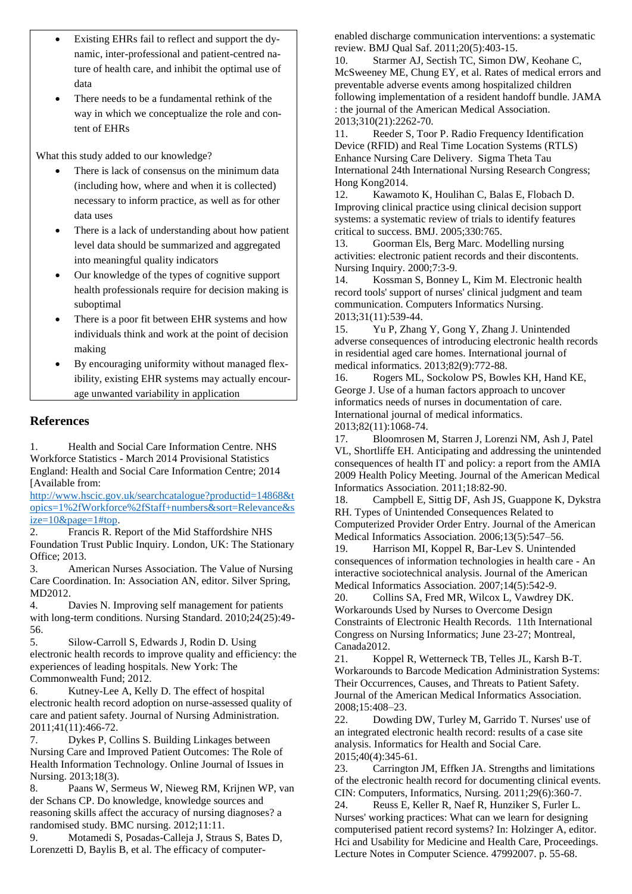- Existing EHRs fail to reflect and support the dynamic, inter-professional and patient-centred nature of health care, and inhibit the optimal use of data
- There needs to be a fundamental rethink of the way in which we conceptualize the role and content of EHRs

What this study added to our knowledge?

- There is lack of consensus on the minimum data (including how, where and when it is collected) necessary to inform practice, as well as for other data uses
- There is a lack of understanding about how patient level data should be summarized and aggregated into meaningful quality indicators
- Our knowledge of the types of cognitive support health professionals require for decision making is suboptimal
- There is a poor fit between EHR systems and how individuals think and work at the point of decision making
- By encouraging uniformity without managed flexibility, existing EHR systems may actually encourage unwanted variability in application

## **References**

1. Health and Social Care Information Centre. NHS Workforce Statistics - March 2014 Provisional Statistics England: Health and Social Care Information Centre; 2014 [Available from:

[http://www.hscic.gov.uk/searchcatalogue?productid=14868&t](http://www.hscic.gov.uk/searchcatalogue?productid=14868&topics=1%2fWorkforce%2fStaff+numbers&sort=Relevance&size=10&page=1#top) [opics=1%2fWorkforce%2fStaff+numbers&sort=Relevance&s](http://www.hscic.gov.uk/searchcatalogue?productid=14868&topics=1%2fWorkforce%2fStaff+numbers&sort=Relevance&size=10&page=1#top) [ize=10&page=1#top.](http://www.hscic.gov.uk/searchcatalogue?productid=14868&topics=1%2fWorkforce%2fStaff+numbers&sort=Relevance&size=10&page=1#top)

2. Francis R. Report of the Mid Staffordshire NHS Foundation Trust Public Inquiry. London, UK: The Stationary Office; 2013.

3. American Nurses Association. The Value of Nursing Care Coordination. In: Association AN, editor. Silver Spring, MD2012.

4. Davies N. Improving self management for patients with long-term conditions. Nursing Standard. 2010;24(25):49- 56.

5. Silow-Carroll S, Edwards J, Rodin D. Using electronic health records to improve quality and efficiency: the experiences of leading hospitals. New York: The Commonwealth Fund; 2012.

6. Kutney-Lee A, Kelly D. The effect of hospital electronic health record adoption on nurse-assessed quality of care and patient safety. Journal of Nursing Administration. 2011;41(11):466-72.

7. Dykes P, Collins S. Building Linkages between Nursing Care and Improved Patient Outcomes: The Role of Health Information Technology. Online Journal of Issues in Nursing. 2013;18(3).

8. Paans W, Sermeus W, Nieweg RM, Krijnen WP, van der Schans CP. Do knowledge, knowledge sources and reasoning skills affect the accuracy of nursing diagnoses? a randomised study. BMC nursing. 2012;11:11.

9. Motamedi S, Posadas-Calleja J, Straus S, Bates D, Lorenzetti D, Baylis B, et al. The efficacy of computerenabled discharge communication interventions: a systematic review. BMJ Qual Saf. 2011;20(5):403-15.

10. Starmer AJ, Sectish TC, Simon DW, Keohane C, McSweeney ME, Chung EY, et al. Rates of medical errors and preventable adverse events among hospitalized children following implementation of a resident handoff bundle. JAMA : the journal of the American Medical Association. 2013;310(21):2262-70.

11. Reeder S, Toor P. Radio Frequency Identification Device (RFID) and Real Time Location Systems (RTLS) Enhance Nursing Care Delivery. Sigma Theta Tau International 24th International Nursing Research Congress; Hong Kong2014.

12. Kawamoto K, Houlihan C, Balas E, Flobach D. Improving clinical practice using clinical decision support systems: a systematic review of trials to identify features critical to success. BMJ. 2005;330:765.

13. Goorman Els, Berg Marc. Modelling nursing activities: electronic patient records and their discontents. Nursing Inquiry. 2000;7:3-9.

14. Kossman S, Bonney L, Kim M. Electronic health record tools' support of nurses' clinical judgment and team communication. Computers Informatics Nursing. 2013;31(11):539-44.

15. Yu P, Zhang Y, Gong Y, Zhang J. Unintended adverse consequences of introducing electronic health records in residential aged care homes. International journal of medical informatics. 2013;82(9):772-88.

16. Rogers ML, Sockolow PS, Bowles KH, Hand KE, George J. Use of a human factors approach to uncover informatics needs of nurses in documentation of care. International journal of medical informatics. 2013;82(11):1068-74.

17. Bloomrosen M, Starren J, Lorenzi NM, Ash J, Patel VL, Shortliffe EH. Anticipating and addressing the unintended consequences of health IT and policy: a report from the AMIA 2009 Health Policy Meeting. Journal of the American Medical Informatics Association. 2011;18:82-90.

18. Campbell E, Sittig DF, Ash JS, Guappone K, Dykstra RH. Types of Unintended Consequences Related to Computerized Provider Order Entry. Journal of the American Medical Informatics Association. 2006;13(5):547–56.

19. Harrison MI, Koppel R, Bar-Lev S. Unintended consequences of information technologies in health care - An interactive sociotechnical analysis. Journal of the American Medical Informatics Association. 2007;14(5):542-9.

20. Collins SA, Fred MR, Wilcox L, Vawdrey DK. Workarounds Used by Nurses to Overcome Design Constraints of Electronic Health Records. 11th International Congress on Nursing Informatics; June 23-27; Montreal, Canada2012.

21. Koppel R, Wetterneck TB, Telles JL, Karsh B-T. Workarounds to Barcode Medication Administration Systems: Their Occurrences, Causes, and Threats to Patient Safety. Journal of the American Medical Informatics Association. 2008;15:408–23.

22. Dowding DW, Turley M, Garrido T. Nurses' use of an integrated electronic health record: results of a case site analysis. Informatics for Health and Social Care. 2015;40(4):345-61.

23. Carrington JM, Effken JA. Strengths and limitations of the electronic health record for documenting clinical events. CIN: Computers, Informatics, Nursing. 2011;29(6):360-7.

24. Reuss E, Keller R, Naef R, Hunziker S, Furler L. Nurses' working practices: What can we learn for designing computerised patient record systems? In: Holzinger A, editor. Hci and Usability for Medicine and Health Care, Proceedings. Lecture Notes in Computer Science. 47992007. p. 55-68.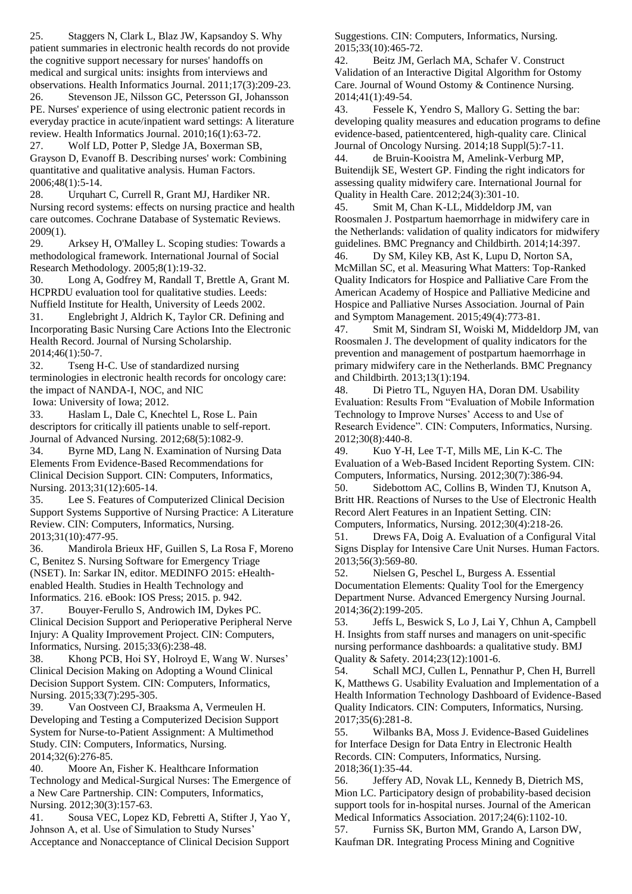25. Staggers N, Clark L, Blaz JW, Kapsandoy S. Why patient summaries in electronic health records do not provide the cognitive support necessary for nurses' handoffs on medical and surgical units: insights from interviews and observations. Health Informatics Journal. 2011;17(3):209-23.

26. Stevenson JE, Nilsson GC, Petersson GI, Johansson PE. Nurses' experience of using electronic patient records in everyday practice in acute/inpatient ward settings: A literature review. Health Informatics Journal. 2010;16(1):63-72.

27. Wolf LD, Potter P, Sledge JA, Boxerman SB, Grayson D, Evanoff B. Describing nurses' work: Combining quantitative and qualitative analysis. Human Factors. 2006;48(1):5-14.<br>28. Urauhart

Urquhart C, Currell R, Grant MJ, Hardiker NR. Nursing record systems: effects on nursing practice and health care outcomes. Cochrane Database of Systematic Reviews. 2009(1).

Arksey H, O'Malley L. Scoping studies: Towards a methodological framework. International Journal of Social Research Methodology. 2005;8(1):19-32.

30. Long A, Godfrey M, Randall T, Brettle A, Grant M. HCPRDU evaluation tool for qualitative studies. Leeds: Nuffield Institute for Health, University of Leeds 2002. 31. Englebright J, Aldrich K, Taylor CR. Defining and

Incorporating Basic Nursing Care Actions Into the Electronic Health Record. Journal of Nursing Scholarship. 2014;46(1):50-7.

32. Tseng H-C. Use of standardized nursing terminologies in electronic health records for oncology care: the impact of NANDA-I, NOC, and NIC Iowa: University of Iowa; 2012.

33. Haslam L, Dale C, Knechtel L, Rose L. Pain descriptors for critically ill patients unable to self-report. Journal of Advanced Nursing. 2012;68(5):1082-9.

34. Byrne MD, Lang N. Examination of Nursing Data Elements From Evidence-Based Recommendations for Clinical Decision Support. CIN: Computers, Informatics, Nursing. 2013;31(12):605-14.

35. Lee S. Features of Computerized Clinical Decision Support Systems Supportive of Nursing Practice: A Literature Review. CIN: Computers, Informatics, Nursing. 2013;31(10):477-95.

36. Mandirola Brieux HF, Guillen S, La Rosa F, Moreno C, Benitez S. Nursing Software for Emergency Triage (NSET). In: Sarkar IN, editor. MEDINFO 2015: eHealthenabled Health. Studies in Health Technology and Informatics. 216. eBook: IOS Press; 2015. p. 942.

37. Bouyer-Ferullo S, Androwich IM, Dykes PC. Clinical Decision Support and Perioperative Peripheral Nerve Injury: A Quality Improvement Project. CIN: Computers, Informatics, Nursing. 2015;33(6):238-48.

38. Khong PCB, Hoi SY, Holroyd E, Wang W. Nurses' Clinical Decision Making on Adopting a Wound Clinical Decision Support System. CIN: Computers, Informatics, Nursing. 2015;33(7):295-305.

39. Van Oostveen CJ, Braaksma A, Vermeulen H. Developing and Testing a Computerized Decision Support System for Nurse-to-Patient Assignment: A Multimethod Study. CIN: Computers, Informatics, Nursing. 2014;32(6):276-85.

40. Moore An, Fisher K. Healthcare Information Technology and Medical-Surgical Nurses: The Emergence of a New Care Partnership. CIN: Computers, Informatics, Nursing. 2012;30(3):157-63.

41. Sousa VEC, Lopez KD, Febretti A, Stifter J, Yao Y, Johnson A, et al. Use of Simulation to Study Nurses' Acceptance and Nonacceptance of Clinical Decision Support

Suggestions. CIN: Computers, Informatics, Nursing. 2015;33(10):465-72.

42. Beitz JM, Gerlach MA, Schafer V. Construct Validation of an Interactive Digital Algorithm for Ostomy Care. Journal of Wound Ostomy & Continence Nursing. 2014;41(1):49-54.

43. Fessele K, Yendro S, Mallory G. Setting the bar: developing quality measures and education programs to define evidence-based, patientcentered, high-quality care. Clinical Journal of Oncology Nursing. 2014;18 Suppl(5):7-11.

44. de Bruin-Kooistra M, Amelink-Verburg MP, Buitendijk SE, Westert GP. Finding the right indicators for assessing quality midwifery care. International Journal for Quality in Health Care. 2012;24(3):301-10.<br>45. Smit M. Chan K-LL. Middeldorp.

45. Smit M, Chan K-LL, Middeldorp JM, van Roosmalen J. Postpartum haemorrhage in midwifery care in the Netherlands: validation of quality indicators for midwifery guidelines. BMC Pregnancy and Childbirth. 2014;14:397.

46. Dy SM, Kiley KB, Ast K, Lupu D, Norton SA, McMillan SC, et al. Measuring What Matters: Top-Ranked Quality Indicators for Hospice and Palliative Care From the American Academy of Hospice and Palliative Medicine and Hospice and Palliative Nurses Association. Journal of Pain and Symptom Management. 2015;49(4):773-81.

47. Smit M, Sindram SI, Woiski M, Middeldorp JM, van Roosmalen J. The development of quality indicators for the prevention and management of postpartum haemorrhage in primary midwifery care in the Netherlands. BMC Pregnancy and Childbirth. 2013;13(1):194.

48. Di Pietro TL, Nguyen HA, Doran DM. Usability Evaluation: Results From "Evaluation of Mobile Information Technology to Improve Nurses' Access to and Use of Research Evidence". CIN: Computers, Informatics, Nursing. 2012;30(8):440-8.

49. Kuo Y-H, Lee T-T, Mills ME, Lin K-C. The Evaluation of a Web-Based Incident Reporting System. CIN: Computers, Informatics, Nursing. 2012;30(7):386-94.

50. Sidebottom AC, Collins B, Winden TJ, Knutson A, Britt HR. Reactions of Nurses to the Use of Electronic Health Record Alert Features in an Inpatient Setting. CIN: Computers, Informatics, Nursing. 2012;30(4):218-26.

51. Drews FA, Doig A. Evaluation of a Configural Vital Signs Display for Intensive Care Unit Nurses. Human Factors. 2013;56(3):569-80.

52. Nielsen G, Peschel L, Burgess A. Essential Documentation Elements: Quality Tool for the Emergency Department Nurse. Advanced Emergency Nursing Journal. 2014;36(2):199-205.

53. Jeffs L, Beswick S, Lo J, Lai Y, Chhun A, Campbell H. Insights from staff nurses and managers on unit-specific nursing performance dashboards: a qualitative study. BMJ Quality & Safety. 2014;23(12):1001-6.

54. Schall MCJ, Cullen L, Pennathur P, Chen H, Burrell K, Matthews G. Usability Evaluation and Implementation of a Health Information Technology Dashboard of Evidence-Based Quality Indicators. CIN: Computers, Informatics, Nursing. 2017;35(6):281-8.

55. Wilbanks BA, Moss J. Evidence-Based Guidelines for Interface Design for Data Entry in Electronic Health Records. CIN: Computers, Informatics, Nursing. 2018;36(1):35-44.

56. Jeffery AD, Novak LL, Kennedy B, Dietrich MS, Mion LC. Participatory design of probability-based decision support tools for in-hospital nurses. Journal of the American Medical Informatics Association. 2017;24(6):1102-10.

57. Furniss SK, Burton MM, Grando A, Larson DW, Kaufman DR. Integrating Process Mining and Cognitive